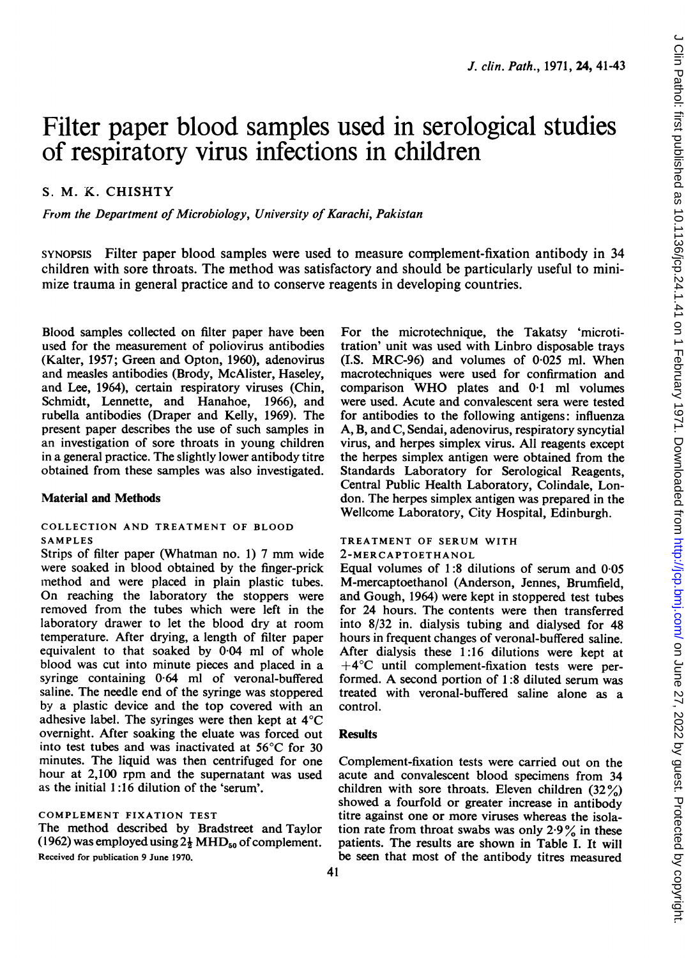# Filter paper blood samples used in serological studies of respiratory virus infections in children

## S. M. K. CHISHTY

From the Department of Microbiology, University of Karachi, Pakistan

SYNOPSIS Filter paper blood samples were used to measure complement-fixation antibody in 34 children with sore throats. The method was satisfactory and should be particularly useful to minimize trauma in general practice and to conserve reagents in developing countries.

Blood samples collected on filter paper have been used for the measurement of poliovirus antibodies (Kalter, 1957; Green and Opton, 1960), adenovirus and measles antibodies (Brody, McAlister, Haseley, and Lee, 1964), certain respiratory viruses (Chin, Schmidt, Lennette, and Hanahoe, 1966), and rubella antibodies (Draper and Kelly, 1969). The present paper describes the use of such samples in an investigation of sore throats in young children in a general practice. The slightly lower antibody titre obtained from these samples was also investigated.

## Material and Methods

#### COLLECTION AND TREATMENT OF BLOOD SAMPLES

Strips of filter paper (Whatman no. 1) <sup>7</sup> mm wide were soaked in blood obtained by the finger-prick method and were placed in plain plastic tubes. On reaching the laboratory the stoppers were removed from the tubes which were left in the laboratory drawer to let the blood dry at room temperature. After drying, a length of filter paper equivalent to that soaked by 0-04 ml of whole blood was cut into minute pieces and placed in a syringe containing 0-64 ml of veronal-buffered saline. The needle end of the syringe was stoppered by a plastic device and the top covered with an adhesive label. The syringes were then kept at 4°C overnight. After soaking the eluate was forced out into test tubes and was inactivated at 56°C for 30 minutes. The liquid was then centrifuged for one hour at 2,100 rpm and the supernatant was used as the initial 1:16 dilution of the 'serum'.

## COMPLEMENT FIXATION TEST

The method described by Bradstreet and Taylor (1962) was employed using  $2\frac{1}{2}$  MHD<sub>50</sub> of complement. Received for publication 9 June 1970.

For the microtechnique, the Takatsy 'microtitration' unit was used with Linbro disposable trays (I.S. MRC-96) and volumes of 0-025 ml. When macrotechniques were used for confirmation and comparison WHO plates and 0-1 ml volumes were used. Acute and convalescent sera were tested for antibodies to the following antigens: influenza A, B, and C, Sendai, adenovirus, respiratory syncytial virus, and herpes simplex virus. All reagents except the herpes simplex antigen were obtained from the Standards Laboratory for Serological Reagents, Central Public Health Laboratory, Colindale, London. The herpes simplex antigen was prepared in the Wellcome Laboratory, City Hospital, Edinburgh.

### TREATMENT OF SERUM WITH 2-MERCAPTOETHANOL

Equal volumes of 1:8 dilutions of serum and 0-05 M-mercaptoethanol (Anderson, Jennes, Brumfield, and Gough, 1964) were kept in stoppered test tubes for 24 hours. The contents were then transferred into 8/32 in. dialysis tubing and dialysed for 48 hours in frequent changes of veronal-buffered saline. After dialysis these 1:16 dilutions were kept at  $+4^{\circ}$ C until complement-fixation tests were performed. A second portion of 1:8 diluted serum was treated with veronal-buffered saline alone as a control.

## **Results**

Complement-fixation tests were carried out on the acute and convalescent blood specimens from 34 children with sore throats. Eleven children  $(32\%)$ showed a fourfold or greater increase in antibody titre against one or more viruses whereas the isolation rate from throat swabs was only  $2.9\%$  in these patients. The results are shown in Table I. It will be seen that most of the antibody titres measured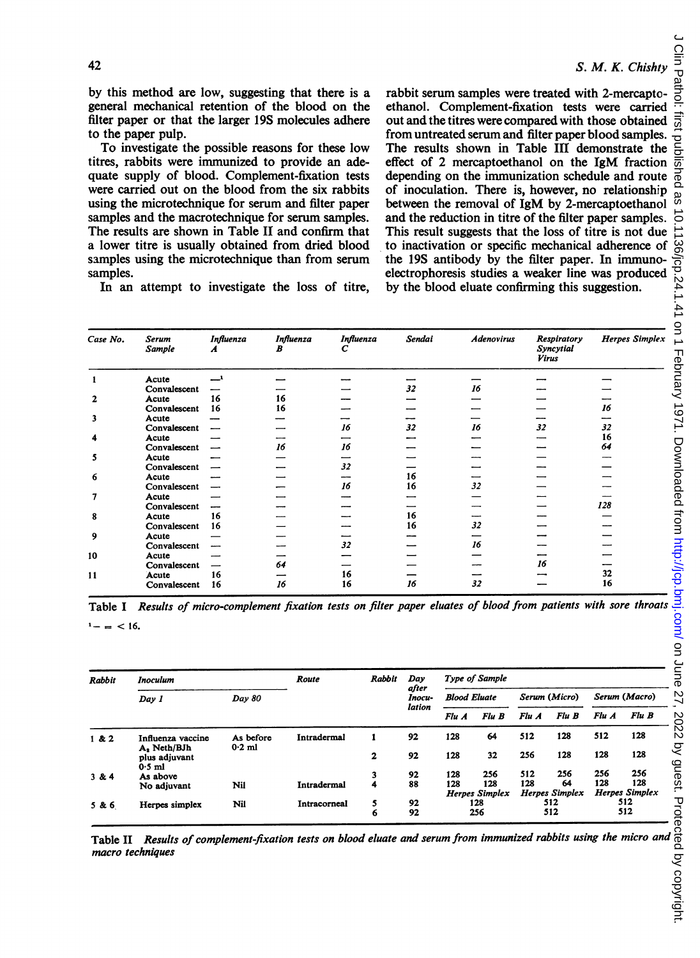by this method are low, suggesting that there is a general mechanical retention of the blood on the filter paper or that the larger 19S molecules adhere to the paper pulp.

To investigate the possible reasons for these low titres, rabbits were immunized to provide an adequate supply of blood. Complement-fixation tests were carried out on the blood from the six rabbits using the microtechnique for serum and filter paper samples and the macrotechnique for serum samples. The results are shown in Table II and confirm that a lower titre is usually obtained from dried blood samples using the microtechnique than from serum samples.

rabbit serum samples were treated with 2-mercaptoethanol. Complement-fixation tests were carried out and the titres were compared with those obtained from untreated serum and filter paper blood samples. The results shown in Table III demonstrate the effect of <sup>2</sup> mercaptoethanol on the IgM fraction depending on the immunization schedule and route of inoculation. There is, however, no relationship between the removal of IgM by 2-mercaptoethanol and the reduction in titre of the filter paper samples. This result suggests that the loss of titre is not due to inactivation or specific mechanical adherence of the 19S antibody by the filter paper. In immunoelectrophoresis studies a weaker line was produced by the blood eluate confirming this suggestion.

| Case No.                                                             | Serum<br>Sample                                                                                                                      | Influenza<br>A        | Influenza<br>B | Influenza<br>C | Sendai                                            |                     | <b>Adenovirus</b>              |            | <b>Respiratory</b><br>Syncytial<br><b>Virus</b> |            | <b>Herpes Simplex</b>  |
|----------------------------------------------------------------------|--------------------------------------------------------------------------------------------------------------------------------------|-----------------------|----------------|----------------|---------------------------------------------------|---------------------|--------------------------------|------------|-------------------------------------------------|------------|------------------------|
| 1                                                                    | Acute                                                                                                                                | ∸                     |                |                |                                                   |                     |                                |            |                                                 |            |                        |
| 2                                                                    | Convalescent<br>Acute                                                                                                                | 16                    | 16             |                | 32                                                |                     | 16                             |            |                                                 |            |                        |
|                                                                      | Convalescent                                                                                                                         | 16                    | 16             |                |                                                   |                     |                                |            |                                                 | 16         |                        |
| 3                                                                    | Acute                                                                                                                                |                       |                |                |                                                   |                     |                                |            |                                                 |            |                        |
| 4                                                                    | Convalescent<br>Acute                                                                                                                |                       |                | 16             | 32                                                |                     | 16                             | 32         |                                                 | 32<br>16   |                        |
|                                                                      | Convalescent                                                                                                                         |                       | 16             | 16             |                                                   |                     |                                |            |                                                 | 64         |                        |
| 5                                                                    | Acute                                                                                                                                |                       |                |                |                                                   |                     |                                |            |                                                 |            |                        |
|                                                                      | Convalescent                                                                                                                         |                       |                | 32             |                                                   |                     |                                |            |                                                 |            |                        |
| 6                                                                    | Acute                                                                                                                                |                       |                |                | 16                                                |                     |                                |            |                                                 |            |                        |
| 7                                                                    | Convalescent<br>Acute                                                                                                                |                       |                | 16             | 16                                                |                     | 32                             |            |                                                 |            |                        |
|                                                                      | Convalescent                                                                                                                         |                       |                |                |                                                   |                     |                                |            |                                                 | 128        |                        |
| 8                                                                    | Acute                                                                                                                                | 16                    |                |                | 16                                                |                     |                                |            |                                                 |            |                        |
|                                                                      | Convalescent                                                                                                                         | 16                    |                |                |                                                   |                     | 32                             |            |                                                 |            |                        |
|                                                                      |                                                                                                                                      |                       |                |                | 16                                                |                     |                                |            |                                                 |            |                        |
|                                                                      | Acute                                                                                                                                |                       |                |                |                                                   |                     |                                |            |                                                 |            |                        |
|                                                                      | Convalescent                                                                                                                         |                       |                | 32             |                                                   |                     | 16                             |            |                                                 |            |                        |
|                                                                      | Acute                                                                                                                                |                       |                |                |                                                   |                     |                                |            |                                                 |            |                        |
|                                                                      | Convalescent                                                                                                                         |                       | 64             |                |                                                   |                     |                                | 16         |                                                 | 32         |                        |
|                                                                      | Acute<br>Convalescent<br>Results of micro-complement fixation tests on filter paper eluates of blood from patients with sore throats | 16<br>16              | 16             | 16<br>16       | 16                                                |                     | 32                             |            |                                                 | 16         |                        |
|                                                                      | Inoculum<br>Dav 1                                                                                                                    | Day 80                |                | Route          | <b>Rabbit</b><br>Day<br>after<br>Inocu-<br>lation | <b>Blood Eluate</b> | <b>Type of Sample</b><br>Flu B | Flu A      | Serum (Micro)<br>Flu B                          | Flu A      | Serum (Macro)<br>Flu B |
|                                                                      |                                                                                                                                      |                       |                |                |                                                   | Flu A               |                                |            |                                                 |            |                        |
| 9<br>10<br>11<br>Table I<br>$1 - 2 < 16$ .<br><b>Rabbit</b><br>1 & 2 | Influenza vaccine<br>A. Neth/BJh<br>plus adjuvant                                                                                    | As before<br>$0.2$ ml |                | Intradermal    | 92<br>$\mathbf{1}$<br>92<br>$\mathbf 2$           | 128<br>128          | 64<br>32                       | 512<br>256 | 128<br>128                                      | 512<br>128 | 128<br>128             |
|                                                                      | $0.5$ ml                                                                                                                             |                       |                |                |                                                   |                     |                                |            |                                                 |            |                        |
|                                                                      | As above                                                                                                                             |                       |                |                | 92<br>3                                           | 128<br>128          | 256<br>128                     | 512<br>128 | 256<br>64                                       | 256<br>128 | 256<br>128             |
| 3 & 4                                                                | No adjuvant                                                                                                                          | Nil                   |                | Intradermal    | 88<br>4                                           |                     | Herpes Simplex                 |            | <b>Herpes Simplex</b>                           |            | <b>Herpes Simplex</b>  |
| 5&6                                                                  | Herpes simplex                                                                                                                       | Nil                   |                | Intracorneal   | 5<br>92<br>92<br>6                                |                     | 128<br>256                     |            | 512<br>512                                      |            | 512<br>512             |

 $1 - 2 < 16$ .

| <b>Rabbit</b>  | <b>Inoculum</b>                                                           |                       | Route               | Rabbit | Day                                         | <b>Type of Sample</b> |       |                |       |                |       |  |
|----------------|---------------------------------------------------------------------------|-----------------------|---------------------|--------|---------------------------------------------|-----------------------|-------|----------------|-------|----------------|-------|--|
|                | Day 1                                                                     | Day 80                |                     | 2<br>3 | after<br>Inocu-<br>lation<br>92<br>92<br>92 | <b>Blood Eluate</b>   |       | Serum (Micro)  |       | Serum (Macro)  |       |  |
|                |                                                                           |                       |                     |        |                                             | Flu A                 | Flu B | Flu A          | Flu B | Flu A          | Flu B |  |
| 1 & 2<br>3 & 4 | Influenza vaccine<br>A. Neth/BJh<br>plus adjuvant<br>$0.5$ ml<br>As above | As before<br>$0.2$ ml | Intradermal         |        |                                             | 128                   | 64    | 512            | 128   | 512            | 128   |  |
|                |                                                                           |                       |                     |        |                                             | 128                   | 32    | 256            | 128   | 128            | 128   |  |
|                |                                                                           |                       |                     |        |                                             | 128                   | 256   | 512            | 256   | 256            | 256   |  |
|                | No adjuvant                                                               | Nil                   | Intradermal         | 4      | 88                                          | 128                   | 128   | 128            | 64    | 128            | 128   |  |
|                |                                                                           |                       |                     |        |                                             | <b>Herpes Simplex</b> |       | Herpes Simplex |       | Herpes Simplex |       |  |
| 5 & 6          | Herpes simplex                                                            | Nil                   | <b>Intracorneal</b> | 5      | 92                                          |                       | 128   |                | 512   |                | 512   |  |
|                |                                                                           |                       |                     | 6      | 92                                          | 256                   |       | 512            |       | 512            |       |  |